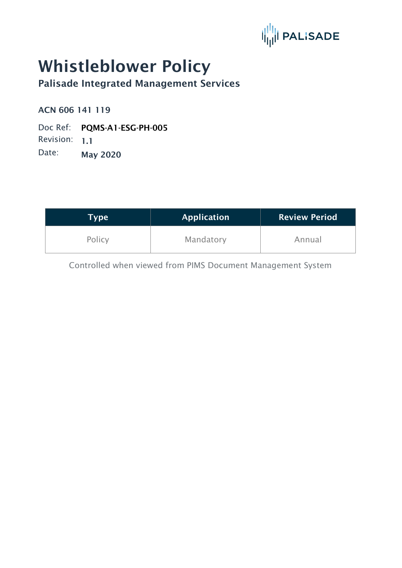

# Whistleblower Policy

Palisade Integrated Management Services

ACN 606 141 119

Doc Ref: PQMS-A1-ESG-PH-005 Revision: 1.1 Date: May 2020

| Type   | <b>Application</b> | <b>Review Period</b> |
|--------|--------------------|----------------------|
| Policy | Mandatory          | Annual               |

Controlled when viewed from PIMS Document Management System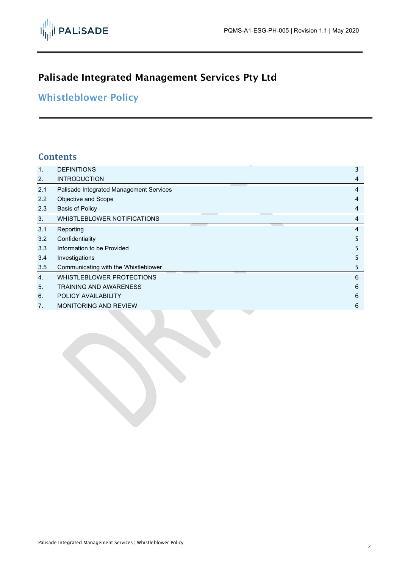# Palisade Integrated Management Services Pty Ltd

# Whistleblower Policy

### **Contents**

| $\mathbf{1}$ . | <b>DEFINITIONS</b>                      | 3 |
|----------------|-----------------------------------------|---|
| 2.             | <b>INTRODUCTION</b>                     | 4 |
| 2.1            | Palisade Integrated Management Services | 4 |
| 2.2            | Objective and Scope                     | 4 |
| 2.3            | <b>Basis of Policy</b>                  | 4 |
| 3.             | WHISTLEBLOWER NOTIFICATIONS             | 4 |
| 3.1            | Reporting                               | 4 |
| 3.2            | Confidentiality                         | 5 |
| 3.3            | Information to be Provided              | 5 |
| 3.4            | Investigations                          | 5 |
| 3.5            | Communicating with the Whistleblower    | 5 |
| $\mathbf{4}$ . | WHISTLEBLOWER PROTECTIONS               | 6 |
| 5.             | <b>TRAINING AND AWARENESS</b>           | 6 |
| 6.             | POLICY AVAILABILITY                     | 6 |
| 7.             | <b>MONITORING AND REVIEW</b>            | 6 |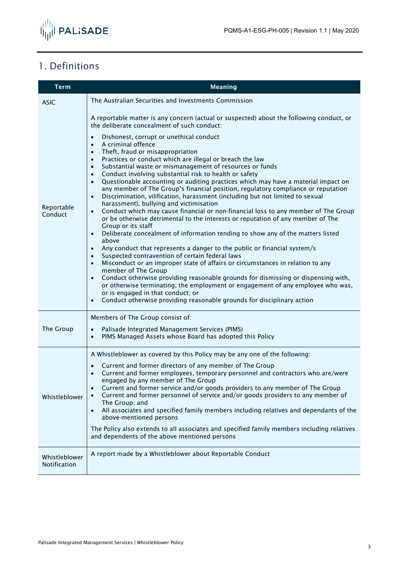

# <span id="page-2-0"></span>1. Definitions

| <b>Term</b>                   | <b>Meaning</b>                                                                                                                                                                                                                                                                                                                                                                                                                                                                                                                                                                                                                                                                                                                                                                                                                                                                                                                                                                                                                                                                                                                                                                                                                                                                                                                                                                                                                                                                                                                                                                                                                                                                                                                                                    |  |
|-------------------------------|-------------------------------------------------------------------------------------------------------------------------------------------------------------------------------------------------------------------------------------------------------------------------------------------------------------------------------------------------------------------------------------------------------------------------------------------------------------------------------------------------------------------------------------------------------------------------------------------------------------------------------------------------------------------------------------------------------------------------------------------------------------------------------------------------------------------------------------------------------------------------------------------------------------------------------------------------------------------------------------------------------------------------------------------------------------------------------------------------------------------------------------------------------------------------------------------------------------------------------------------------------------------------------------------------------------------------------------------------------------------------------------------------------------------------------------------------------------------------------------------------------------------------------------------------------------------------------------------------------------------------------------------------------------------------------------------------------------------------------------------------------------------|--|
| <b>ASIC</b>                   | The Australian Securities and Investments Commission                                                                                                                                                                                                                                                                                                                                                                                                                                                                                                                                                                                                                                                                                                                                                                                                                                                                                                                                                                                                                                                                                                                                                                                                                                                                                                                                                                                                                                                                                                                                                                                                                                                                                                              |  |
| Reportable<br>Conduct         | A reportable matter is any concern (actual or suspected) about the following conduct, or<br>the deliberate concealment of such conduct:<br>Dishonest, corrupt or unethical conduct<br>$\bullet$<br>A criminal offence<br>$\bullet$<br>Theft, fraud or misappropriation<br>$\bullet$<br>Practices or conduct which are illegal or breach the law<br>$\bullet$<br>Substantial waste or mismanagement of resources or funds<br>$\bullet$<br>Conduct involving substantial risk to health or safety<br>$\bullet$<br>Questionable accounting or auditing practices which may have a material impact on<br>$\bullet$<br>any member of The Group's financial position, regulatory compliance or reputation<br>Discrimination, vilification, harassment (including but not limited to sexual<br>$\bullet$<br>harassment), bullying and victimisation<br>Conduct which may cause financial or non-financial loss to any member of The Group<br>$\bullet$<br>or be otherwise detrimental to the interests or reputation of any member of The<br>Group or its staff<br>Deliberate concealment of information tending to show any of the matters listed<br>$\bullet$<br>above<br>Any conduct that represents a danger to the public or financial system/s<br>$\bullet$<br>Suspected contravention of certain federal laws<br>$\bullet$<br>Misconduct or an improper state of affairs or circumstances in relation to any<br>$\bullet$<br>member of The Group<br>Conduct otherwise providing reasonable grounds for dismissing or dispensing with,<br>$\bullet$<br>or otherwise terminating, the employment or engagement of any employee who was,<br>or is engaged in that conduct; or<br>Conduct otherwise providing reasonable grounds for disciplinary action<br>$\bullet$ |  |
| The Group                     | Members of The Group consist of:<br>Palisade Integrated Management Services (PIMS)<br>$\bullet$<br>PIMS Managed Assets whose Board has adopted this Policy<br>$\bullet$                                                                                                                                                                                                                                                                                                                                                                                                                                                                                                                                                                                                                                                                                                                                                                                                                                                                                                                                                                                                                                                                                                                                                                                                                                                                                                                                                                                                                                                                                                                                                                                           |  |
| Whistleblower                 | A Whistleblower as covered by this Policy may be any one of the following:<br>Current and former directors of any member of The Group<br>$\bullet$<br>Current and former employees, temporary personnel and contractors who are/were<br>engaged by any member of The Group<br>Current and former service and/or goods providers to any member of The Group<br>$\bullet$<br>Current and former personnel of service and/or goods providers to any member of<br>$\bullet$<br>The Group; and<br>All associates and specified family members including relatives and dependants of the<br>$\bullet$<br>above-mentioned persons<br>The Policy also extends to all associates and specified family members including relatives<br>and dependents of the above mentioned persons                                                                                                                                                                                                                                                                                                                                                                                                                                                                                                                                                                                                                                                                                                                                                                                                                                                                                                                                                                                         |  |
| Whistleblower<br>Notification | A report made by a Whistleblower about Reportable Conduct                                                                                                                                                                                                                                                                                                                                                                                                                                                                                                                                                                                                                                                                                                                                                                                                                                                                                                                                                                                                                                                                                                                                                                                                                                                                                                                                                                                                                                                                                                                                                                                                                                                                                                         |  |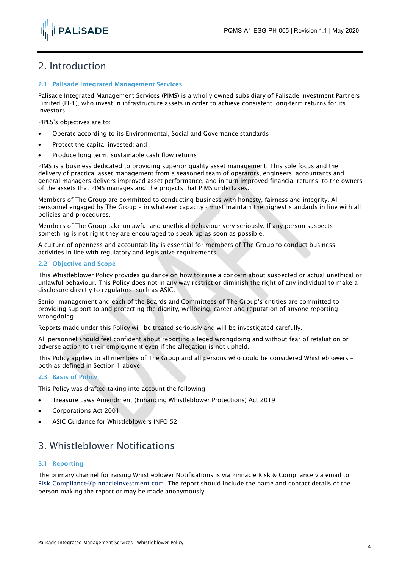

### <span id="page-3-0"></span>2. Introduction

#### <span id="page-3-1"></span>2.1 Palisade Integrated Management Services

Palisade Integrated Management Services (PIMS) is a wholly owned subsidiary of Palisade Investment Partners Limited (PIPL), who invest in infrastructure assets in order to achieve consistent long-term returns for its investors.

PIPLS's objectives are to:

- Operate according to its Environmental, Social and Governance standards
- Protect the capital invested; and
- Produce long term, sustainable cash flow returns

PIMS is a business dedicated to providing superior quality asset management. This sole focus and the delivery of practical asset management from a seasoned team of operators, engineers, accountants and general managers delivers improved asset performance, and in turn improved financial returns, to the owners of the assets that PIMS manages and the projects that PIMS undertakes.

Members of The Group are committed to conducting business with honesty, fairness and integrity. All personnel engaged by The Group – in whatever capacity - must maintain the highest standards in line with all policies and procedures.

Members of The Group take unlawful and unethical behaviour very seriously. If any person suspects something is not right they are encouraged to speak up as soon as possible.

A culture of openness and accountability is essential for members of The Group to conduct business activities in line with regulatory and legislative requirements.

#### <span id="page-3-2"></span>2.2 Objective and Scope

This Whistleblower Policy provides guidance on how to raise a concern about suspected or actual unethical or unlawful behaviour. This Policy does not in any way restrict or diminish the right of any individual to make a disclosure directly to regulators, such as ASIC.

Senior management and each of the Boards and Committees of The Group's entities are committed to providing support to and protecting the dignity, wellbeing, career and reputation of anyone reporting wrongdoing.

Reports made under this Policy will be treated seriously and will be investigated carefully.

All personnel should feel confident about reporting alleged wrongdoing and without fear of retaliation or adverse action to their employment even if the allegation is not upheld.

This Policy applies to all members of The Group and all persons who could be considered Whistleblowers – both as defined in Section 1 above.

#### <span id="page-3-3"></span>2.3 Basis of Policy

This Policy was drafted taking into account the following:

- Treasure Laws Amendment (Enhancing Whistleblower Protections) Act 2019
- Corporations Act 2001
- ASIC Guidance for Whistleblowers INFO 52

### <span id="page-3-4"></span>3. Whistleblower Notifications

#### <span id="page-3-5"></span>3.1 Reporting

The primary channel for raising Whistleblower Notifications is via Pinnacle Risk & Compliance via email to [Risk.Compliance@pinnacleinvestment.com.](mailto:Risk.Compliance@pinnacleinvestment.com) The report should include the name and contact details of the person making the report or may be made anonymously.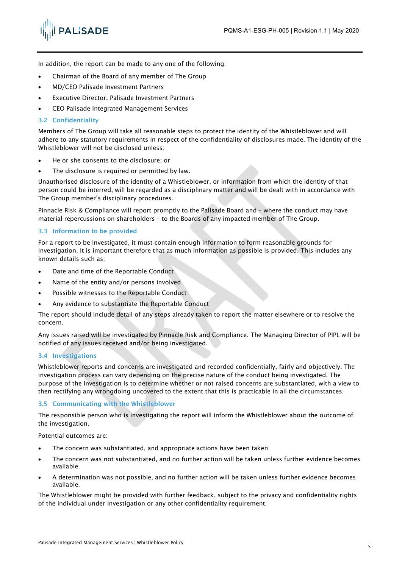

In addition, the report can be made to any one of the following:

- Chairman of the Board of any member of The Group
- MD/CEO Palisade Investment Partners
- **Executive Director, Palisade Investment Partners**
- CEO Palisade Integrated Management Services

#### <span id="page-4-0"></span>3.2 Confidentiality

Members of The Group will take all reasonable steps to protect the identity of the Whistleblower and will adhere to any statutory requirements in respect of the confidentiality of disclosures made. The identity of the Whistleblower will not be disclosed unless:

- He or she consents to the disclosure; or
- The disclosure is required or permitted by law.

Unauthorised disclosure of the identity of a Whistleblower, or information from which the identity of that person could be interred, will be regarded as a disciplinary matter and will be dealt with in accordance with The Group member's disciplinary procedures.

Pinnacle Risk & Compliance will report promptly to the Palisade Board and – where the conduct may have material repercussions on shareholders – to the Boards of any impacted member of The Group.

#### <span id="page-4-1"></span>3.3 Information to be provided

For a report to be investigated, it must contain enough information to form reasonable grounds for investigation. It is important therefore that as much information as possible is provided. This includes any known details such as:

- Date and time of the Reportable Conduct
- Name of the entity and/or persons involved
- Possible witnesses to the Reportable Conduct
- Any evidence to substantiate the Reportable Conduct

The report should include detail of any steps already taken to report the matter elsewhere or to resolve the concern.

Any issues raised will be investigated by Pinnacle Risk and Compliance. The Managing Director of PIPL will be notified of any issues received and/or being investigated.

#### <span id="page-4-2"></span>3.4 Investigations

Whistleblower reports and concerns are investigated and recorded confidentially, fairly and objectively. The investigation process can vary depending on the precise nature of the conduct being investigated. The purpose of the investigation is to determine whether or not raised concerns are substantiated, with a view to then rectifying any wrongdoing uncovered to the extent that this is practicable in all the circumstances.

#### <span id="page-4-3"></span>3.5 Communicating with the Whistleblower

The responsible person who is investigating the report will inform the Whistleblower about the outcome of the investigation.

Potential outcomes are:

- The concern was substantiated, and appropriate actions have been taken
- The concern was not substantiated, and no further action will be taken unless further evidence becomes available
- A determination was not possible, and no further action will be taken unless further evidence becomes available.

The Whistleblower might be provided with further feedback, subject to the privacy and confidentiality rights of the individual under investigation or any other confidentiality requirement.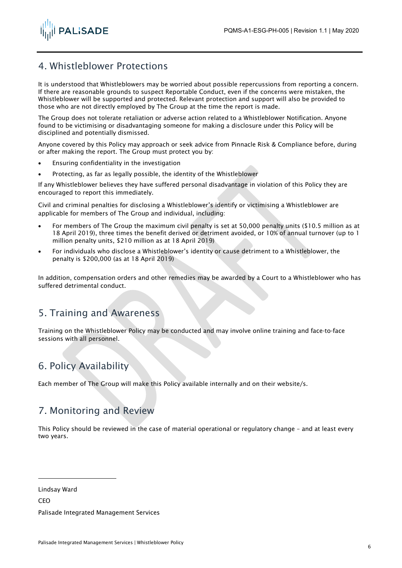

# <span id="page-5-0"></span>4. Whistleblower Protections

It is understood that Whistleblowers may be worried about possible repercussions from reporting a concern. If there are reasonable grounds to suspect Reportable Conduct, even if the concerns were mistaken, the Whistleblower will be supported and protected. Relevant protection and support will also be provided to those who are not directly employed by The Group at the time the report is made.

The Group does not tolerate retaliation or adverse action related to a Whistleblower Notification. Anyone found to be victimising or disadvantaging someone for making a disclosure under this Policy will be disciplined and potentially dismissed.

Anyone covered by this Policy may approach or seek advice from Pinnacle Risk & Compliance before, during or after making the report. The Group must protect you by:

- Ensuring confidentiality in the investigation
- Protecting, as far as legally possible, the identity of the Whistleblower

If any Whistleblower believes they have suffered personal disadvantage in violation of this Policy they are encouraged to report this immediately.

Civil and criminal penalties for disclosing a Whistleblower's identify or victimising a Whistleblower are applicable for members of The Group and individual, including:

- For members of The Group the maximum civil penalty is set at 50,000 penalty units (\$10.5 million as at 18 April 2019), three times the benefit derived or detriment avoided, or 10% of annual turnover (up to 1 million penalty units, \$210 million as at 18 April 2019)
- For individuals who disclose a Whistleblower's identity or cause detriment to a Whistleblower, the penalty is \$200,000 (as at 18 April 2019)

In addition, compensation orders and other remedies may be awarded by a Court to a Whistleblower who has suffered detrimental conduct.

# <span id="page-5-1"></span>5. Training and Awareness

Training on the Whistleblower Policy may be conducted and may involve online training and face-to-face sessions with all personnel.

# <span id="page-5-2"></span>6. Policy Availability

Each member of The Group will make this Policy available internally and on their website/s.

# <span id="page-5-3"></span>7. Monitoring and Review

This Policy should be reviewed in the case of material operational or regulatory change – and at least every two years.

Lindsay Ward

**CEO** 

Palisade Integrated Management Services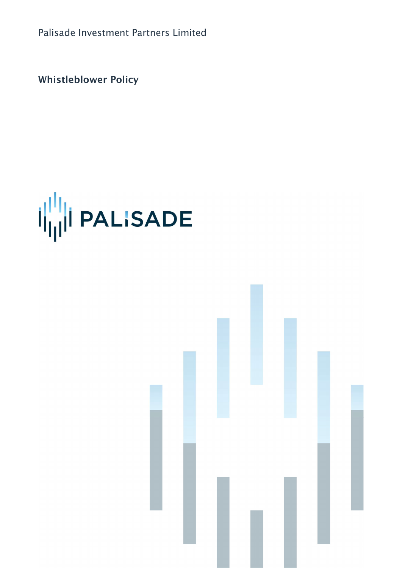Palisade Investment Partners Limited

Whistleblower Policy



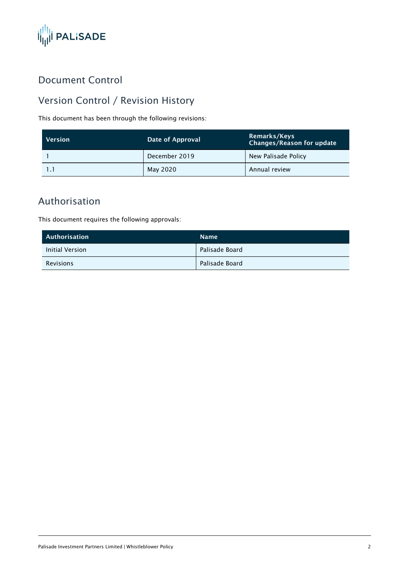

# Document Control

# Version Control / Revision History

This document has been through the following revisions:

| <b>Version</b> | Date of Approval | Remarks/Keys<br><b>Changes/Reason for update</b> |  |
|----------------|------------------|--------------------------------------------------|--|
|                | December 2019    | New Palisade Policy                              |  |
|                | May 2020         | Annual review                                    |  |

# Authorisation

This document requires the following approvals:

| Authorisation    | <b>Name</b>    |
|------------------|----------------|
| Initial Version  | Palisade Board |
| <b>Revisions</b> | Palisade Board |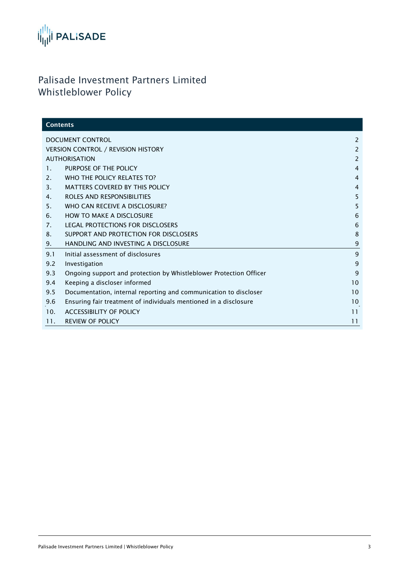

# Palisade Investment Partners Limited Whistleblower Policy

| <b>Contents</b>                           |                                                                    |                |
|-------------------------------------------|--------------------------------------------------------------------|----------------|
| <b>DOCUMENT CONTROL</b>                   |                                                                    | $\overline{2}$ |
| <b>VERSION CONTROL / REVISION HISTORY</b> |                                                                    | 2              |
| <b>AUTHORISATION</b>                      |                                                                    | 2              |
| 1.                                        | PURPOSE OF THE POLICY                                              | $\overline{4}$ |
| 2.                                        | WHO THE POLICY RELATES TO?                                         | $\overline{4}$ |
| 3 <sub>1</sub>                            | <b>MATTERS COVERED BY THIS POLICY</b>                              | $\overline{4}$ |
| 4.                                        | ROLES AND RESPONSIBILITIES                                         | 5              |
| 5.                                        | WHO CAN RECEIVE A DISCLOSURE?                                      | 5              |
| 6.                                        | <b>HOW TO MAKE A DISCLOSURE</b>                                    | 6              |
| 7 <sub>1</sub>                            | LEGAL PROTECTIONS FOR DISCLOSERS                                   | 6              |
| 8.                                        | SUPPORT AND PROTECTION FOR DISCLOSERS                              | 8              |
| 9.                                        | HANDLING AND INVESTING A DISCLOSURE                                | 9              |
| 9.1                                       | Initial assessment of disclosures                                  | 9              |
| 9.2                                       | Investigation                                                      | 9              |
| 9.3                                       | Ongoing support and protection by Whistleblower Protection Officer | 9              |
| 9.4                                       | Keeping a discloser informed                                       | 10             |
| 9.5                                       | Documentation, internal reporting and communication to discloser   | 10             |
| 9.6                                       | Ensuring fair treatment of individuals mentioned in a disclosure   | 10             |
| 10.                                       | <b>ACCESSIBILITY OF POLICY</b>                                     | 11             |
| 11.                                       | <b>REVIEW OF POLICY</b>                                            | 11             |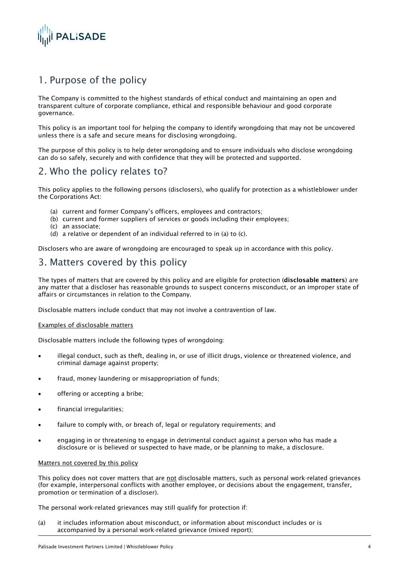

# 1. Purpose of the policy

The Company is committed to the highest standards of ethical conduct and maintaining an open and transparent culture of corporate compliance, ethical and responsible behaviour and good corporate governance.

This policy is an important tool for helping the company to identify wrongdoing that may not be uncovered unless there is a safe and secure means for disclosing wrongdoing.

The purpose of this policy is to help deter wrongdoing and to ensure individuals who disclose wrongdoing can do so safely, securely and with confidence that they will be protected and supported.

### 2. Who the policy relates to?

This policy applies to the following persons (disclosers), who qualify for protection as a whistleblower under the Corporations Act:

- (a) current and former Company's officers, employees and contractors;
- (b) current and former suppliers of services or goods including their employees;
- (c) an associate;
- (d) a relative or dependent of an individual referred to in (a) to (c).

Disclosers who are aware of wrongdoing are encouraged to speak up in accordance with this policy.

### 3. Matters covered by this policy

The types of matters that are covered by this policy and are eligible for protection (disclosable matters) are any matter that a discloser has reasonable grounds to suspect concerns misconduct, or an improper state of affairs or circumstances in relation to the Company.

Disclosable matters include conduct that may not involve a contravention of law.

#### Examples of disclosable matters

Disclosable matters include the following types of wrongdoing:

- illegal conduct, such as theft, dealing in, or use of illicit drugs, violence or threatened violence, and criminal damage against property;
- fraud, money laundering or misappropriation of funds;
- offering or accepting a bribe;
- financial irregularities;
- failure to comply with, or breach of, legal or regulatory requirements; and
- engaging in or threatening to engage in detrimental conduct against a person who has made a disclosure or is believed or suspected to have made, or be planning to make, a disclosure.

#### Matters not covered by this policy

This policy does not cover matters that are not disclosable matters, such as personal work-related grievances (for example, interpersonal conflicts with another employee, or decisions about the engagement, transfer, promotion or termination of a discloser).

The personal work-related grievances may still qualify for protection if:

(a) it includes information about misconduct, or information about misconduct includes or is accompanied by a personal work-related grievance (mixed report);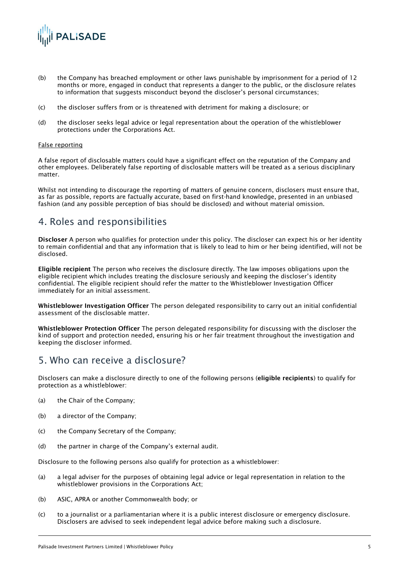

- (b) the Company has breached employment or other laws punishable by imprisonment for a period of 12 months or more, engaged in conduct that represents a danger to the public, or the disclosure relates to information that suggests misconduct beyond the discloser's personal circumstances;
- (c) the discloser suffers from or is threatened with detriment for making a disclosure; or
- (d) the discloser seeks legal advice or legal representation about the operation of the whistleblower protections under the Corporations Act.

#### False reporting

A false report of disclosable matters could have a significant effect on the reputation of the Company and other employees. Deliberately false reporting of disclosable matters will be treated as a serious disciplinary matter.

Whilst not intending to discourage the reporting of matters of genuine concern, disclosers must ensure that, as far as possible, reports are factually accurate, based on first-hand knowledge, presented in an unbiased fashion (and any possible perception of bias should be disclosed) and without material omission.

### 4. Roles and responsibilities

Discloser A person who qualifies for protection under this policy. The discloser can expect his or her identity to remain confidential and that any information that is likely to lead to him or her being identified, will not be disclosed.

Eligible recipient The person who receives the disclosure directly. The law imposes obligations upon the eligible recipient which includes treating the disclosure seriously and keeping the discloser's identity confidential. The eligible recipient should refer the matter to the Whistleblower Investigation Officer immediately for an initial assessment.

Whistleblower Investigation Officer The person delegated responsibility to carry out an initial confidential assessment of the disclosable matter.

Whistleblower Protection Officer The person delegated responsibility for discussing with the discloser the kind of support and protection needed, ensuring his or her fair treatment throughout the investigation and keeping the discloser informed.

# 5. Who can receive a disclosure?

Disclosers can make a disclosure directly to one of the following persons (eligible recipients) to qualify for protection as a whistleblower:

- (a) the Chair of the Company;
- (b) a director of the Company;
- (c) the Company Secretary of the Company;
- (d) the partner in charge of the Company's external audit.

Disclosure to the following persons also qualify for protection as a whistleblower:

- (a) a legal adviser for the purposes of obtaining legal advice or legal representation in relation to the whistleblower provisions in the Corporations Act;
- (b) ASIC, APRA or another Commonwealth body; or
- (c) to a journalist or a parliamentarian where it is a public interest disclosure or emergency disclosure. Disclosers are advised to seek independent legal advice before making such a disclosure.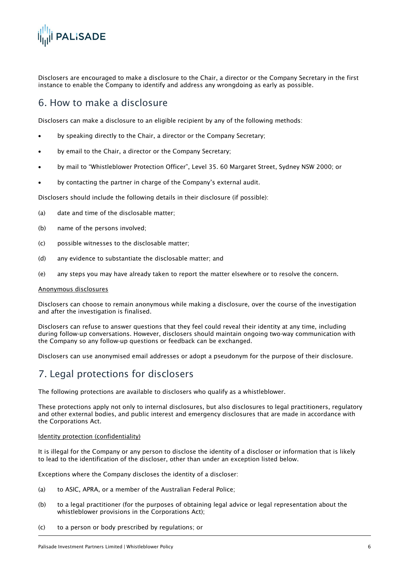

Disclosers are encouraged to make a disclosure to the Chair, a director or the Company Secretary in the first instance to enable the Company to identify and address any wrongdoing as early as possible.

### 6. How to make a disclosure

Disclosers can make a disclosure to an eligible recipient by any of the following methods:

- by speaking directly to the Chair, a director or the Company Secretary;
- by email to the Chair, a director or the Company Secretary;
- by mail to "Whistleblower Protection Officer", Level 35. 60 Margaret Street, Sydney NSW 2000; or
- by contacting the partner in charge of the Company's external audit.

Disclosers should include the following details in their disclosure (if possible):

- (a) date and time of the disclosable matter;
- (b) name of the persons involved;
- (c) possible witnesses to the disclosable matter;
- (d) any evidence to substantiate the disclosable matter; and
- (e) any steps you may have already taken to report the matter elsewhere or to resolve the concern.

#### Anonymous disclosures

Disclosers can choose to remain anonymous while making a disclosure, over the course of the investigation and after the investigation is finalised.

Disclosers can refuse to answer questions that they feel could reveal their identity at any time, including during follow-up conversations. However, disclosers should maintain ongoing two-way communication with the Company so any follow-up questions or feedback can be exchanged.

Disclosers can use anonymised email addresses or adopt a pseudonym for the purpose of their disclosure.

### 7. Legal protections for disclosers

The following protections are available to disclosers who qualify as a whistleblower.

These protections apply not only to internal disclosures, but also disclosures to legal practitioners, regulatory and other external bodies, and public interest and emergency disclosures that are made in accordance with the Corporations Act.

#### Identity protection (confidentiality)

It is illegal for the Company or any person to disclose the identity of a discloser or information that is likely to lead to the identification of the discloser, other than under an exception listed below.

Exceptions where the Company discloses the identity of a discloser:

- (a) to ASIC, APRA, or a member of the Australian Federal Police;
- (b) to a legal practitioner (for the purposes of obtaining legal advice or legal representation about the whistleblower provisions in the Corporations Act);
- (c) to a person or body prescribed by regulations; or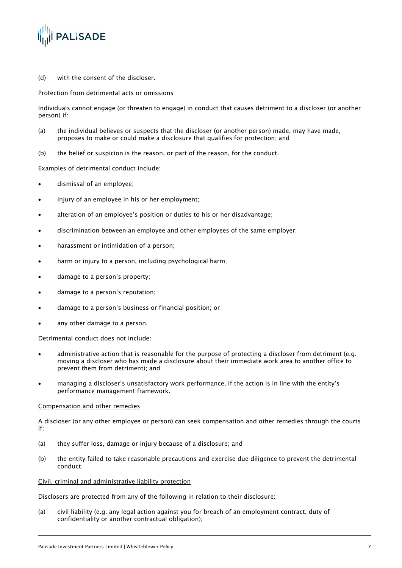

(d) with the consent of the discloser.

#### Protection from detrimental acts or omissions

Individuals cannot engage (or threaten to engage) in conduct that causes detriment to a discloser (or another person) if:

- (a) the individual believes or suspects that the discloser (or another person) made, may have made, proposes to make or could make a disclosure that qualifies for protection; and
- (b) the belief or suspicion is the reason, or part of the reason, for the conduct.

Examples of detrimental conduct include:

- dismissal of an employee;
- injury of an employee in his or her employment:
- alteration of an employee's position or duties to his or her disadvantage;
- discrimination between an employee and other employees of the same employer;
- harassment or intimidation of a person;
- harm or injury to a person, including psychological harm;
- damage to a person's property;
- damage to a person's reputation;
- damage to a person's business or financial position; or
- any other damage to a person.

Detrimental conduct does not include:

- administrative action that is reasonable for the purpose of protecting a discloser from detriment (e.g. moving a discloser who has made a disclosure about their immediate work area to another office to prevent them from detriment); and
- managing a discloser's unsatisfactory work performance, if the action is in line with the entity's performance management framework.

#### Compensation and other remedies

A discloser (or any other employee or person) can seek compensation and other remedies through the courts if:

- (a) they suffer loss, damage or injury because of a disclosure; and
- (b) the entity failed to take reasonable precautions and exercise due diligence to prevent the detrimental conduct.

#### Civil, criminal and administrative liability protection

Disclosers are protected from any of the following in relation to their disclosure:

(a) civil liability (e.g. any legal action against you for breach of an employment contract, duty of confidentiality or another contractual obligation);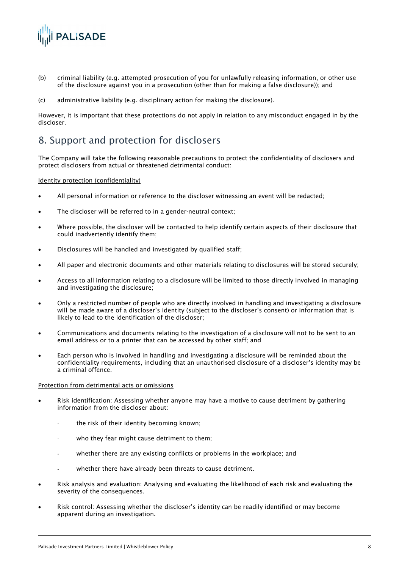

- (b) criminal liability (e.g. attempted prosecution of you for unlawfully releasing information, or other use of the disclosure against you in a prosecution (other than for making a false disclosure)); and
- (c) administrative liability (e.g. disciplinary action for making the disclosure).

However, it is important that these protections do not apply in relation to any misconduct engaged in by the discloser.

### 8. Support and protection for disclosers

The Company will take the following reasonable precautions to protect the confidentiality of disclosers and protect disclosers from actual or threatened detrimental conduct:

#### Identity protection (confidentiality)

- All personal information or reference to the discloser witnessing an event will be redacted;
- The discloser will be referred to in a gender-neutral context:
- Where possible, the discloser will be contacted to help identify certain aspects of their disclosure that could inadvertently identify them;
- Disclosures will be handled and investigated by qualified staff;
- All paper and electronic documents and other materials relating to disclosures will be stored securely;
- Access to all information relating to a disclosure will be limited to those directly involved in managing and investigating the disclosure;
- Only a restricted number of people who are directly involved in handling and investigating a disclosure will be made aware of a discloser's identity (subject to the discloser's consent) or information that is likely to lead to the identification of the discloser;
- Communications and documents relating to the investigation of a disclosure will not to be sent to an email address or to a printer that can be accessed by other staff; and
- Each person who is involved in handling and investigating a disclosure will be reminded about the confidentiality requirements, including that an unauthorised disclosure of a discloser's identity may be a criminal offence.

#### Protection from detrimental acts or omissions

- Risk identification: Assessing whether anyone may have a motive to cause detriment by gathering information from the discloser about:
	- the risk of their identity becoming known;
	- who they fear might cause detriment to them;
	- whether there are any existing conflicts or problems in the workplace; and
	- whether there have already been threats to cause detriment.
- Risk analysis and evaluation: Analysing and evaluating the likelihood of each risk and evaluating the severity of the consequences.
- Risk control: Assessing whether the discloser's identity can be readily identified or may become apparent during an investigation.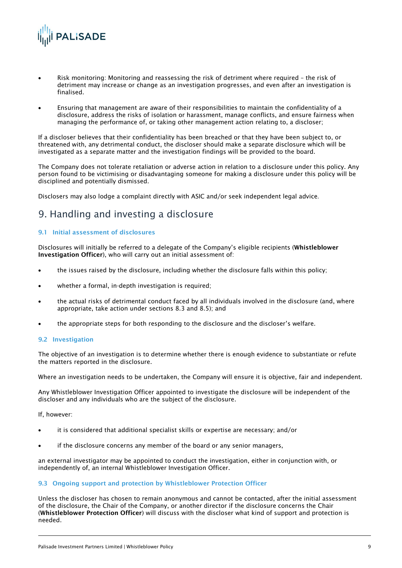

- Risk monitoring: Monitoring and reassessing the risk of detriment where required the risk of detriment may increase or change as an investigation progresses, and even after an investigation is finalised.
- Ensuring that management are aware of their responsibilities to maintain the confidentiality of a disclosure, address the risks of isolation or harassment, manage conflicts, and ensure fairness when managing the performance of, or taking other management action relating to, a discloser;

If a discloser believes that their confidentiality has been breached or that they have been subject to, or threatened with, any detrimental conduct, the discloser should make a separate disclosure which will be investigated as a separate matter and the investigation findings will be provided to the board.

The Company does not tolerate retaliation or adverse action in relation to a disclosure under this policy. Any person found to be victimising or disadvantaging someone for making a disclosure under this policy will be disciplined and potentially dismissed.

Disclosers may also lodge a complaint directly with ASIC and/or seek independent legal advice.

### 9. Handling and investing a disclosure

#### 9.1 Initial assessment of disclosures

Disclosures will initially be referred to a delegate of the Company's eligible recipients (Whistleblower Investigation Officer), who will carry out an initial assessment of:

- the issues raised by the disclosure, including whether the disclosure falls within this policy;
- whether a formal, in-depth investigation is required;
- the actual risks of detrimental conduct faced by all individuals involved in the disclosure (and, where appropriate, take action under sections 8.3 and 8.5); and
- the appropriate steps for both responding to the disclosure and the discloser's welfare.

#### 9.2 Investigation

The objective of an investigation is to determine whether there is enough evidence to substantiate or refute the matters reported in the disclosure.

Where an investigation needs to be undertaken, the Company will ensure it is objective, fair and independent.

Any Whistleblower Investigation Officer appointed to investigate the disclosure will be independent of the discloser and any individuals who are the subject of the disclosure.

If, however:

- it is considered that additional specialist skills or expertise are necessary; and/or
- if the disclosure concerns any member of the board or any senior managers,

an external investigator may be appointed to conduct the investigation, either in conjunction with, or independently of, an internal Whistleblower Investigation Officer.

#### 9.3 Ongoing support and protection by Whistleblower Protection Officer

Unless the discloser has chosen to remain anonymous and cannot be contacted, after the initial assessment of the disclosure, the Chair of the Company, or another director if the disclosure concerns the Chair (Whistleblower Protection Officer) will discuss with the discloser what kind of support and protection is needed.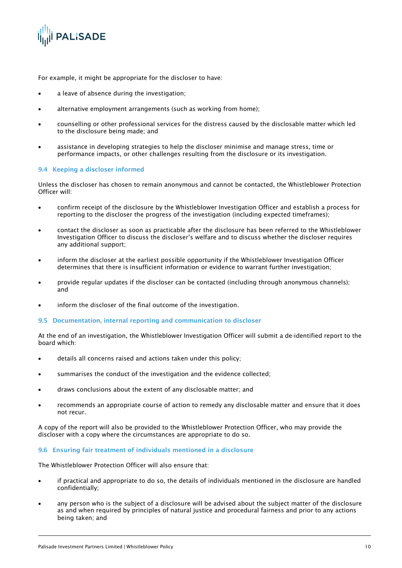

For example, it might be appropriate for the discloser to have:

- a leave of absence during the investigation;
- alternative employment arrangements (such as working from home);
- counselling or other professional services for the distress caused by the disclosable matter which led to the disclosure being made; and
- assistance in developing strategies to help the discloser minimise and manage stress, time or performance impacts, or other challenges resulting from the disclosure or its investigation.

#### 9.4 Keeping a discloser informed

Unless the discloser has chosen to remain anonymous and cannot be contacted, the Whistleblower Protection Officer will:

- confirm receipt of the disclosure by the Whistleblower Investigation Officer and establish a process for reporting to the discloser the progress of the investigation (including expected timeframes);
- contact the discloser as soon as practicable after the disclosure has been referred to the Whistleblower Investigation Officer to discuss the discloser's welfare and to discuss whether the discloser requires any additional support;
- inform the discloser at the earliest possible opportunity if the Whistleblower Investigation Officer determines that there is insufficient information or evidence to warrant further investigation;
- provide regular updates if the discloser can be contacted (including through anonymous channels); and
- inform the discloser of the final outcome of the investigation.

#### 9.5 Documentation, internal reporting and communication to discloser

At the end of an investigation, the Whistleblower Investigation Officer will submit a de-identified report to the board which:

- details all concerns raised and actions taken under this policy;
- summarises the conduct of the investigation and the evidence collected;
- draws conclusions about the extent of any disclosable matter; and
- recommends an appropriate course of action to remedy any disclosable matter and ensure that it does not recur.

A copy of the report will also be provided to the Whistleblower Protection Officer, who may provide the discloser with a copy where the circumstances are appropriate to do so.

#### 9.6 Ensuring fair treatment of individuals mentioned in a disclosure

The Whistleblower Protection Officer will also ensure that:

- if practical and appropriate to do so, the details of individuals mentioned in the disclosure are handled confidentially;
- any person who is the subject of a disclosure will be advised about the subject matter of the disclosure as and when required by principles of natural justice and procedural fairness and prior to any actions being taken; and